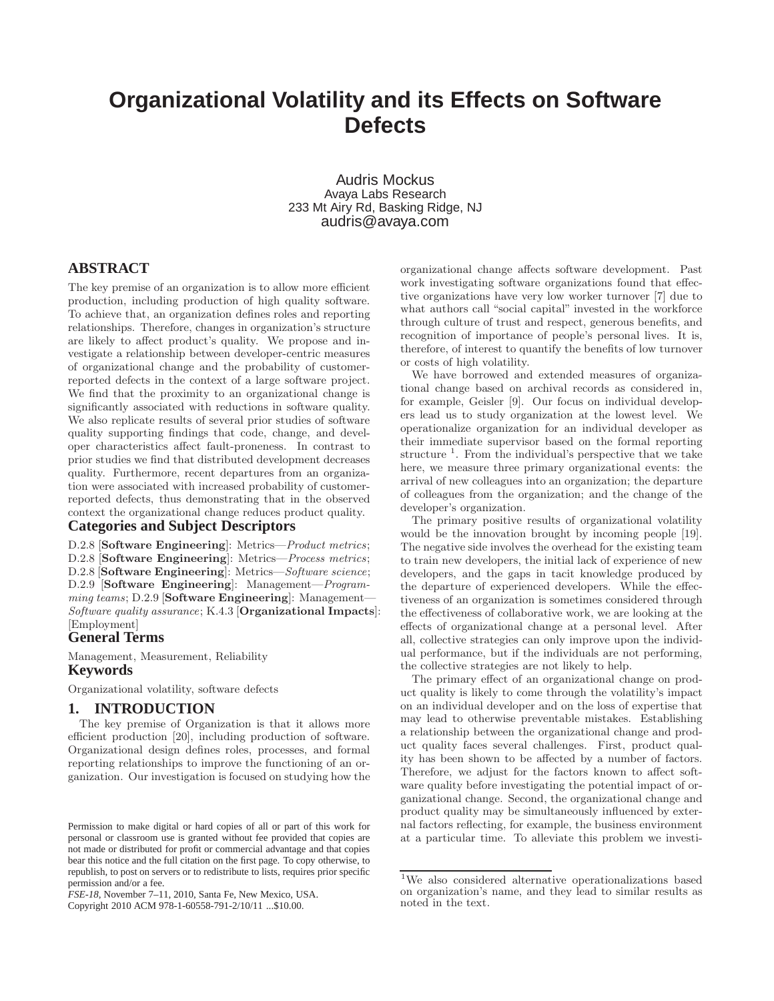# **Organizational Volatility and its Effects on Software Defects**

Audris Mockus Avaya Labs Research 233 Mt Airy Rd, Basking Ridge, NJ audris@avaya.com

# **ABSTRACT**

The key premise of an organization is to allow more efficient production, including production of high quality software. To achieve that, an organization defines roles and reporting relationships. Therefore, changes in organization's structure are likely to affect product's quality. We propose and investigate a relationship between developer-centric measures of organizational change and the probability of customerreported defects in the context of a large software project. We find that the proximity to an organizational change is significantly associated with reductions in software quality. We also replicate results of several prior studies of software quality supporting findings that code, change, and developer characteristics affect fault-proneness. In contrast to prior studies we find that distributed development decreases quality. Furthermore, recent departures from an organization were associated with increased probability of customerreported defects, thus demonstrating that in the observed context the organizational change reduces product quality.

# **Categories and Subject Descriptors**

D.2.8 [Software Engineering]: Metrics—Product metrics; D.2.8 [Software Engineering]: Metrics—Process metrics; D.2.8 [Software Engineering]: Metrics—Software science; D.2.9 [Software Engineering]: Management—Programming teams; D.2.9 [Software Engineering]: Management-Software quality assurance; K.4.3 [Organizational Impacts]: [Employment]

# **General Terms**

Management, Measurement, Reliability **Keywords**

Organizational volatility, software defects

# **1. INTRODUCTION**

The key premise of Organization is that it allows more efficient production [20], including production of software. Organizational design defines roles, processes, and formal reporting relationships to improve the functioning of an organization. Our investigation is focused on studying how the

*FSE-18,* November 7–11, 2010, Santa Fe, New Mexico, USA. Copyright 2010 ACM 978-1-60558-791-2/10/11 ...\$10.00.

organizational change affects software development. Past work investigating software organizations found that effective organizations have very low worker turnover [7] due to what authors call "social capital" invested in the workforce through culture of trust and respect, generous benefits, and recognition of importance of people's personal lives. It is, therefore, of interest to quantify the benefits of low turnover or costs of high volatility.

We have borrowed and extended measures of organizational change based on archival records as considered in, for example, Geisler [9]. Our focus on individual developers lead us to study organization at the lowest level. We operationalize organization for an individual developer as their immediate supervisor based on the formal reporting structure<sup>1</sup>. From the individual's perspective that we take here, we measure three primary organizational events: the arrival of new colleagues into an organization; the departure of colleagues from the organization; and the change of the developer's organization.

The primary positive results of organizational volatility would be the innovation brought by incoming people [19]. The negative side involves the overhead for the existing team to train new developers, the initial lack of experience of new developers, and the gaps in tacit knowledge produced by the departure of experienced developers. While the effectiveness of an organization is sometimes considered through the effectiveness of collaborative work, we are looking at the effects of organizational change at a personal level. After all, collective strategies can only improve upon the individual performance, but if the individuals are not performing, the collective strategies are not likely to help.

The primary effect of an organizational change on product quality is likely to come through the volatility's impact on an individual developer and on the loss of expertise that may lead to otherwise preventable mistakes. Establishing a relationship between the organizational change and product quality faces several challenges. First, product quality has been shown to be affected by a number of factors. Therefore, we adjust for the factors known to affect software quality before investigating the potential impact of organizational change. Second, the organizational change and product quality may be simultaneously influenced by external factors reflecting, for example, the business environment at a particular time. To alleviate this problem we investi-

Permission to make digital or hard copies of all or part of this work for personal or classroom use is granted without fee provided that copies are not made or distributed for profit or commercial advantage and that copies bear this notice and the full citation on the first page. To copy otherwise, to republish, to post on servers or to redistribute to lists, requires prior specific permission and/or a fee.

<sup>1</sup>We also considered alternative operationalizations based on organization's name, and they lead to similar results as noted in the text.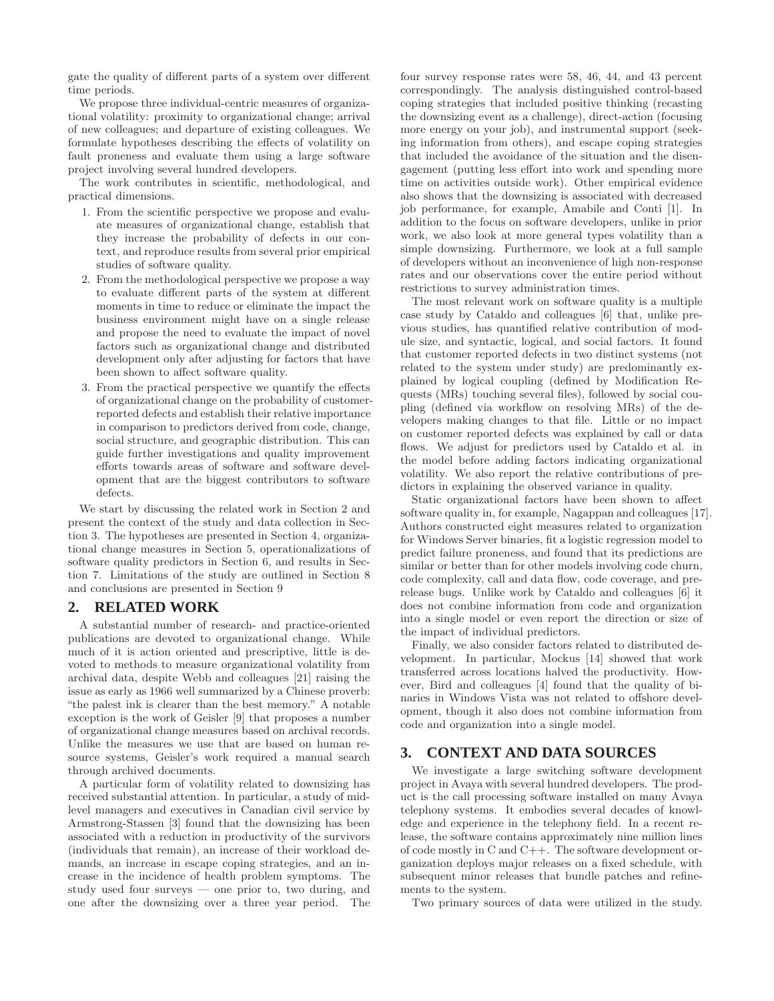gate the quality of different parts of a system over different time periods.

We propose three individual-centric measures of organizational volatility: proximity to organizational change; arrival of new colleagues; and departure of existing colleagues. We formulate hypotheses describing the effects of volatility on fault proneness and evaluate them using a large software project involving several hundred developers.

The work contributes in scientific, methodological, and practical dimensions.

- 1. From the scientific perspective we propose and evaluate measures of organizational change, establish that they increase the probability of defects in our context, and reproduce results from several prior empirical studies of software quality.
- 2. From the methodological perspective we propose a way to evaluate different parts of the system at different moments in time to reduce or eliminate the impact the business environment might have on a single release and propose the need to evaluate the impact of novel factors such as organizational change and distributed development only after adjusting for factors that have been shown to affect software quality.
- 3. From the practical perspective we quantify the effects of organizational change on the probability of customerreported defects and establish their relative importance in comparison to predictors derived from code, change, social structure, and geographic distribution. This can guide further investigations and quality improvement efforts towards areas of software and software development that are the biggest contributors to software defects.

We start by discussing the related work in Section 2 and present the context of the study and data collection in Section 3. The hypotheses are presented in Section 4, organizational change measures in Section 5, operationalizations of software quality predictors in Section 6, and results in Section 7. Limitations of the study are outlined in Section 8 and conclusions are presented in Section 9

## **2. RELATED WORK**

A substantial number of research- and practice-oriented publications are devoted to organizational change. While much of it is action oriented and prescriptive, little is devoted to methods to measure organizational volatility from archival data, despite Webb and colleagues [21] raising the issue as early as 1966 well summarized by a Chinese proverb: "the palest ink is clearer than the best memory." A notable exception is the work of Geisler [9] that proposes a number of organizational change measures based on archival records. Unlike the measures we use that are based on human resource systems, Geisler's work required a manual search through archived documents.

A particular form of volatility related to downsizing has received substantial attention. In particular, a study of midlevel managers and executives in Canadian civil service by Armstrong-Stassen [3] found that the downsizing has been associated with a reduction in productivity of the survivors (individuals that remain), an increase of their workload demands, an increase in escape coping strategies, and an increase in the incidence of health problem symptoms. The study used four surveys — one prior to, two during, and one after the downsizing over a three year period. The four survey response rates were 58, 46, 44, and 43 percent correspondingly. The analysis distinguished control-based coping strategies that included positive thinking (recasting the downsizing event as a challenge), direct-action (focusing more energy on your job), and instrumental support (seeking information from others), and escape coping strategies that included the avoidance of the situation and the disengagement (putting less effort into work and spending more time on activities outside work). Other empirical evidence also shows that the downsizing is associated with decreased job performance, for example, Amabile and Conti [1]. In addition to the focus on software developers, unlike in prior work, we also look at more general types volatility than a simple downsizing. Furthermore, we look at a full sample of developers without an inconvenience of high non-response rates and our observations cover the entire period without restrictions to survey administration times.

The most relevant work on software quality is a multiple case study by Cataldo and colleagues [6] that, unlike previous studies, has quantified relative contribution of module size, and syntactic, logical, and social factors. It found that customer reported defects in two distinct systems (not related to the system under study) are predominantly explained by logical coupling (defined by Modification Requests (MRs) touching several files), followed by social coupling (defined via workflow on resolving MRs) of the developers making changes to that file. Little or no impact on customer reported defects was explained by call or data flows. We adjust for predictors used by Cataldo et al. in the model before adding factors indicating organizational volatility. We also report the relative contributions of predictors in explaining the observed variance in quality.

Static organizational factors have been shown to affect software quality in, for example, Nagappan and colleagues [17]. Authors constructed eight measures related to organization for Windows Server binaries, fit a logistic regression model to predict failure proneness, and found that its predictions are similar or better than for other models involving code churn, code complexity, call and data flow, code coverage, and prerelease bugs. Unlike work by Cataldo and colleagues [6] it does not combine information from code and organization into a single model or even report the direction or size of the impact of individual predictors.

Finally, we also consider factors related to distributed development. In particular, Mockus [14] showed that work transferred across locations halved the productivity. However, Bird and colleagues [4] found that the quality of binaries in Windows Vista was not related to offshore development, though it also does not combine information from code and organization into a single model.

# **3. CONTEXT AND DATA SOURCES**

We investigate a large switching software development project in Avaya with several hundred developers. The product is the call processing software installed on many Avaya telephony systems. It embodies several decades of knowledge and experience in the telephony field. In a recent release, the software contains approximately nine million lines of code mostly in C and C++. The software development organization deploys major releases on a fixed schedule, with subsequent minor releases that bundle patches and refinements to the system.

Two primary sources of data were utilized in the study.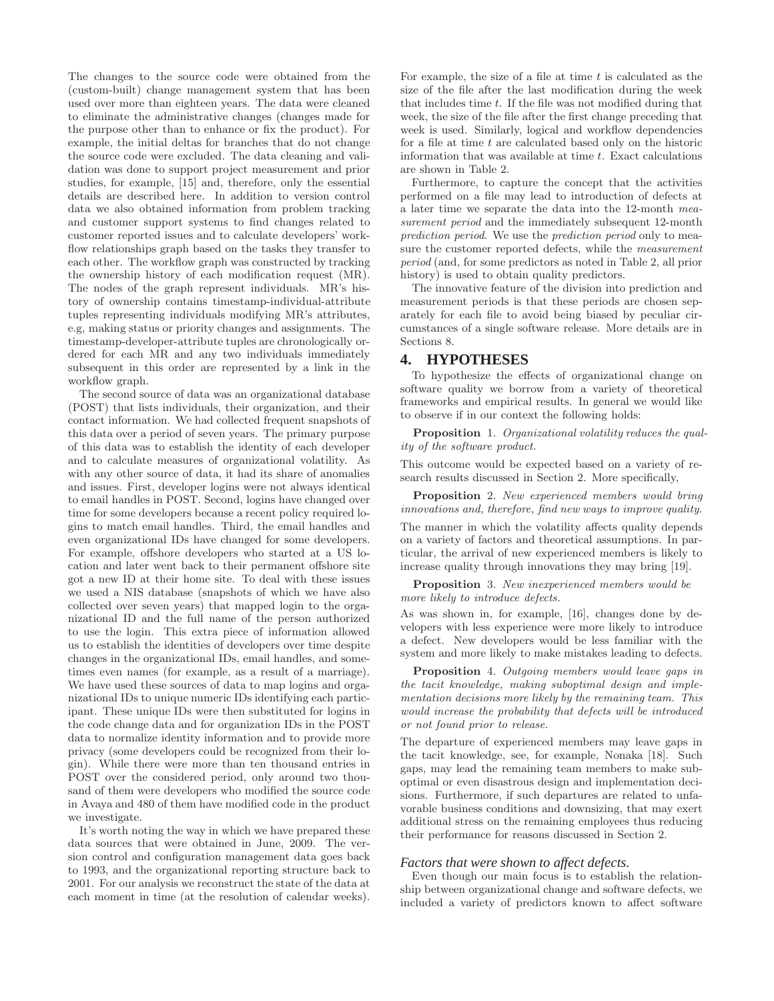The changes to the source code were obtained from the (custom-built) change management system that has been used over more than eighteen years. The data were cleaned to eliminate the administrative changes (changes made for the purpose other than to enhance or fix the product). For example, the initial deltas for branches that do not change the source code were excluded. The data cleaning and validation was done to support project measurement and prior studies, for example, [15] and, therefore, only the essential details are described here. In addition to version control data we also obtained information from problem tracking and customer support systems to find changes related to customer reported issues and to calculate developers' workflow relationships graph based on the tasks they transfer to each other. The workflow graph was constructed by tracking the ownership history of each modification request (MR). The nodes of the graph represent individuals. MR's history of ownership contains timestamp-individual-attribute tuples representing individuals modifying MR's attributes, e.g, making status or priority changes and assignments. The timestamp-developer-attribute tuples are chronologically ordered for each MR and any two individuals immediately subsequent in this order are represented by a link in the workflow graph.

The second source of data was an organizational database (POST) that lists individuals, their organization, and their contact information. We had collected frequent snapshots of this data over a period of seven years. The primary purpose of this data was to establish the identity of each developer and to calculate measures of organizational volatility. As with any other source of data, it had its share of anomalies and issues. First, developer logins were not always identical to email handles in POST. Second, logins have changed over time for some developers because a recent policy required logins to match email handles. Third, the email handles and even organizational IDs have changed for some developers. For example, offshore developers who started at a US location and later went back to their permanent offshore site got a new ID at their home site. To deal with these issues we used a NIS database (snapshots of which we have also collected over seven years) that mapped login to the organizational ID and the full name of the person authorized to use the login. This extra piece of information allowed us to establish the identities of developers over time despite changes in the organizational IDs, email handles, and sometimes even names (for example, as a result of a marriage). We have used these sources of data to map logins and organizational IDs to unique numeric IDs identifying each participant. These unique IDs were then substituted for logins in the code change data and for organization IDs in the POST data to normalize identity information and to provide more privacy (some developers could be recognized from their login). While there were more than ten thousand entries in POST over the considered period, only around two thousand of them were developers who modified the source code in Avaya and 480 of them have modified code in the product we investigate.

It's worth noting the way in which we have prepared these data sources that were obtained in June, 2009. The version control and configuration management data goes back to 1993, and the organizational reporting structure back to 2001. For our analysis we reconstruct the state of the data at each moment in time (at the resolution of calendar weeks). For example, the size of a file at time  $t$  is calculated as the size of the file after the last modification during the week that includes time t. If the file was not modified during that week, the size of the file after the first change preceding that week is used. Similarly, logical and workflow dependencies for a file at time  $t$  are calculated based only on the historic information that was available at time  $t$ . Exact calculations are shown in Table 2.

Furthermore, to capture the concept that the activities performed on a file may lead to introduction of defects at a later time we separate the data into the 12-month measurement period and the immediately subsequent 12-month prediction period. We use the prediction period only to measure the customer reported defects, while the measurement period (and, for some predictors as noted in Table 2, all prior history) is used to obtain quality predictors.

The innovative feature of the division into prediction and measurement periods is that these periods are chosen separately for each file to avoid being biased by peculiar circumstances of a single software release. More details are in Sections 8.

## **4. HYPOTHESES**

To hypothesize the effects of organizational change on software quality we borrow from a variety of theoretical frameworks and empirical results. In general we would like to observe if in our context the following holds:

Proposition 1. Organizational volatility reduces the quality of the software product.

This outcome would be expected based on a variety of research results discussed in Section 2. More specifically,

Proposition 2. New experienced members would bring innovations and, therefore, find new ways to improve quality.

The manner in which the volatility affects quality depends on a variety of factors and theoretical assumptions. In particular, the arrival of new experienced members is likely to increase quality through innovations they may bring [19].

Proposition 3. New inexperienced members would be more likely to introduce defects.

As was shown in, for example, [16], changes done by developers with less experience were more likely to introduce a defect. New developers would be less familiar with the system and more likely to make mistakes leading to defects.

Proposition 4. Outgoing members would leave gaps in the tacit knowledge, making suboptimal design and implementation decisions more likely by the remaining team. This would increase the probability that defects will be introduced or not found prior to release.

The departure of experienced members may leave gaps in the tacit knowledge, see, for example, Nonaka [18]. Such gaps, may lead the remaining team members to make suboptimal or even disastrous design and implementation decisions. Furthermore, if such departures are related to unfavorable business conditions and downsizing, that may exert additional stress on the remaining employees thus reducing their performance for reasons discussed in Section 2.

#### *Factors that were shown to affect defects.*

Even though our main focus is to establish the relationship between organizational change and software defects, we included a variety of predictors known to affect software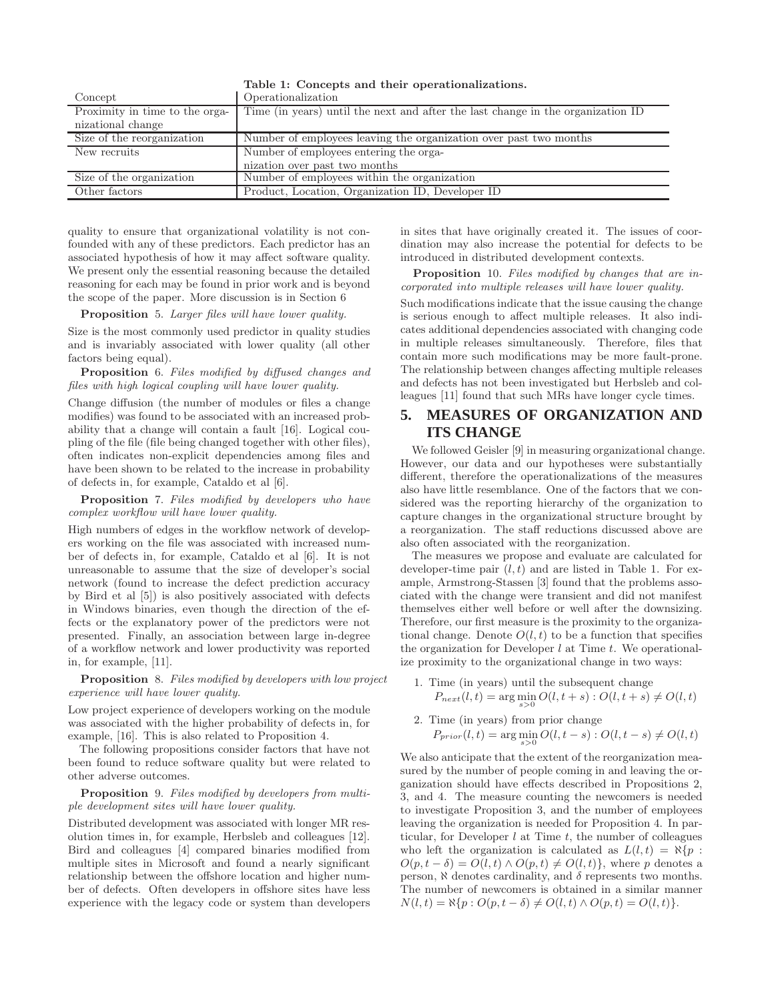| Concept                        | Operationalization                                                              |
|--------------------------------|---------------------------------------------------------------------------------|
| Proximity in time to the orga- | Time (in years) until the next and after the last change in the organization ID |
| nizational change              |                                                                                 |
| Size of the reorganization     | Number of employees leaving the organization over past two months               |
| New recruits                   | Number of employees entering the orga-                                          |
|                                | nization over past two months                                                   |
| Size of the organization       | Number of employees within the organization                                     |
| Other factors                  | Product, Location, Organization ID, Developer ID                                |

Table 1: Concepts and their operationalizations.

quality to ensure that organizational volatility is not confounded with any of these predictors. Each predictor has an associated hypothesis of how it may affect software quality. We present only the essential reasoning because the detailed reasoning for each may be found in prior work and is beyond the scope of the paper. More discussion is in Section 6

Proposition 5. Larger files will have lower quality.

Size is the most commonly used predictor in quality studies and is invariably associated with lower quality (all other factors being equal).

Proposition 6. Files modified by diffused changes and files with high logical coupling will have lower quality.

Change diffusion (the number of modules or files a change modifies) was found to be associated with an increased probability that a change will contain a fault [16]. Logical coupling of the file (file being changed together with other files), often indicates non-explicit dependencies among files and have been shown to be related to the increase in probability of defects in, for example, Cataldo et al [6].

Proposition 7. Files modified by developers who have complex workflow will have lower quality.

High numbers of edges in the workflow network of developers working on the file was associated with increased number of defects in, for example, Cataldo et al [6]. It is not unreasonable to assume that the size of developer's social network (found to increase the defect prediction accuracy by Bird et al [5]) is also positively associated with defects in Windows binaries, even though the direction of the effects or the explanatory power of the predictors were not presented. Finally, an association between large in-degree of a workflow network and lower productivity was reported in, for example, [11].

Proposition 8. Files modified by developers with low project experience will have lower quality.

Low project experience of developers working on the module was associated with the higher probability of defects in, for example, [16]. This is also related to Proposition 4.

The following propositions consider factors that have not been found to reduce software quality but were related to other adverse outcomes.

#### Proposition 9. Files modified by developers from multiple development sites will have lower quality.

Distributed development was associated with longer MR resolution times in, for example, Herbsleb and colleagues [12]. Bird and colleagues [4] compared binaries modified from multiple sites in Microsoft and found a nearly significant relationship between the offshore location and higher number of defects. Often developers in offshore sites have less experience with the legacy code or system than developers in sites that have originally created it. The issues of coordination may also increase the potential for defects to be introduced in distributed development contexts.

Proposition 10. Files modified by changes that are incorporated into multiple releases will have lower quality.

Such modifications indicate that the issue causing the change is serious enough to affect multiple releases. It also indicates additional dependencies associated with changing code in multiple releases simultaneously. Therefore, files that contain more such modifications may be more fault-prone. The relationship between changes affecting multiple releases and defects has not been investigated but Herbsleb and colleagues [11] found that such MRs have longer cycle times.

# **5. MEASURES OF ORGANIZATION AND ITS CHANGE**

We followed Geisler [9] in measuring organizational change. However, our data and our hypotheses were substantially different, therefore the operationalizations of the measures also have little resemblance. One of the factors that we considered was the reporting hierarchy of the organization to capture changes in the organizational structure brought by a reorganization. The staff reductions discussed above are also often associated with the reorganization.

The measures we propose and evaluate are calculated for developer-time pair  $(l, t)$  and are listed in Table 1. For example, Armstrong-Stassen [3] found that the problems associated with the change were transient and did not manifest themselves either well before or well after the downsizing. Therefore, our first measure is the proximity to the organizational change. Denote  $O(l, t)$  to be a function that specifies the organization for Developer  $l$  at Time  $t$ . We operationalize proximity to the organizational change in two ways:

- 1. Time (in years) until the subsequent change  $P_{next}(l,t) = \arg \min_{s>0} O(l,t+s) : O(l,t+s) \neq O(l,t)$
- 2. Time (in years) from prior change  $P_{prior}(l, t) = \arg \min_{s > 0} O(l, t - s) : O(l, t - s) \neq O(l, t)$

We also anticipate that the extent of the reorganization measured by the number of people coming in and leaving the organization should have effects described in Propositions 2, 3, and 4. The measure counting the newcomers is needed to investigate Proposition 3, and the number of employees leaving the organization is needed for Proposition 4. In particular, for Developer  $l$  at Time  $t$ , the number of colleagues who left the organization is calculated as  $L(l, t) = \aleph\{p :$  $O(p, t - \delta) = O(l, t) \wedge O(p, t) \neq O(l, t)$ , where p denotes a person,  $\aleph$  denotes cardinality, and  $\delta$  represents two months. The number of newcomers is obtained in a similar manner  $N(l, t) = \aleph\{p : O(p, t - \delta) \neq O(l, t) \wedge O(p, t) = O(l, t)\}.$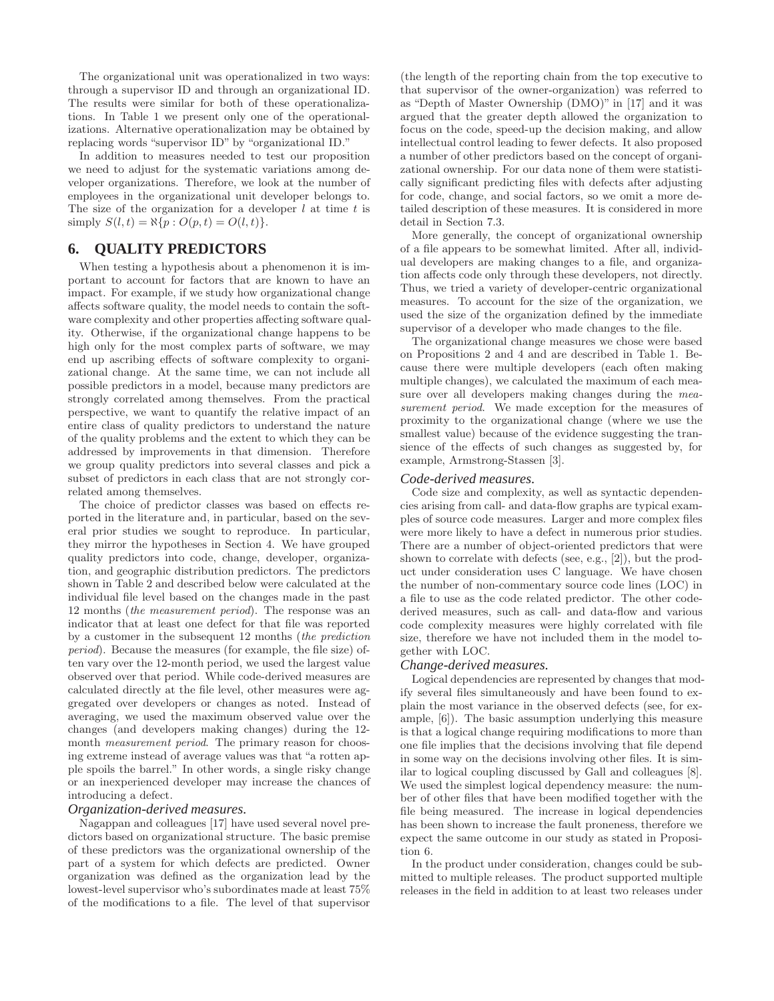The organizational unit was operationalized in two ways: through a supervisor ID and through an organizational ID. The results were similar for both of these operationalizations. In Table 1 we present only one of the operationalizations. Alternative operationalization may be obtained by replacing words "supervisor ID" by "organizational ID."

In addition to measures needed to test our proposition we need to adjust for the systematic variations among developer organizations. Therefore, we look at the number of employees in the organizational unit developer belongs to. The size of the organization for a developer  $l$  at time  $t$  is simply  $S(l, t) = \aleph\{p : O(p, t) = O(l, t)\}.$ 

# **6. QUALITY PREDICTORS**

When testing a hypothesis about a phenomenon it is important to account for factors that are known to have an impact. For example, if we study how organizational change affects software quality, the model needs to contain the software complexity and other properties affecting software quality. Otherwise, if the organizational change happens to be high only for the most complex parts of software, we may end up ascribing effects of software complexity to organizational change. At the same time, we can not include all possible predictors in a model, because many predictors are strongly correlated among themselves. From the practical perspective, we want to quantify the relative impact of an entire class of quality predictors to understand the nature of the quality problems and the extent to which they can be addressed by improvements in that dimension. Therefore we group quality predictors into several classes and pick a subset of predictors in each class that are not strongly correlated among themselves.

The choice of predictor classes was based on effects reported in the literature and, in particular, based on the several prior studies we sought to reproduce. In particular, they mirror the hypotheses in Section 4. We have grouped quality predictors into code, change, developer, organization, and geographic distribution predictors. The predictors shown in Table 2 and described below were calculated at the individual file level based on the changes made in the past 12 months (the measurement period). The response was an indicator that at least one defect for that file was reported by a customer in the subsequent 12 months (the prediction period). Because the measures (for example, the file size) often vary over the 12-month period, we used the largest value observed over that period. While code-derived measures are calculated directly at the file level, other measures were aggregated over developers or changes as noted. Instead of averaging, we used the maximum observed value over the changes (and developers making changes) during the 12 month *measurement period*. The primary reason for choosing extreme instead of average values was that "a rotten apple spoils the barrel." In other words, a single risky change or an inexperienced developer may increase the chances of introducing a defect.

#### *Organization-derived measures.*

Nagappan and colleagues [17] have used several novel predictors based on organizational structure. The basic premise of these predictors was the organizational ownership of the part of a system for which defects are predicted. Owner organization was defined as the organization lead by the lowest-level supervisor who's subordinates made at least 75% of the modifications to a file. The level of that supervisor

(the length of the reporting chain from the top executive to that supervisor of the owner-organization) was referred to as "Depth of Master Ownership (DMO)" in [17] and it was argued that the greater depth allowed the organization to focus on the code, speed-up the decision making, and allow intellectual control leading to fewer defects. It also proposed a number of other predictors based on the concept of organizational ownership. For our data none of them were statistically significant predicting files with defects after adjusting for code, change, and social factors, so we omit a more detailed description of these measures. It is considered in more detail in Section 7.3.

More generally, the concept of organizational ownership of a file appears to be somewhat limited. After all, individual developers are making changes to a file, and organization affects code only through these developers, not directly. Thus, we tried a variety of developer-centric organizational measures. To account for the size of the organization, we used the size of the organization defined by the immediate supervisor of a developer who made changes to the file.

The organizational change measures we chose were based on Propositions 2 and 4 and are described in Table 1. Because there were multiple developers (each often making multiple changes), we calculated the maximum of each measure over all developers making changes during the measurement period. We made exception for the measures of proximity to the organizational change (where we use the smallest value) because of the evidence suggesting the transience of the effects of such changes as suggested by, for example, Armstrong-Stassen [3].

#### *Code-derived measures.*

Code size and complexity, as well as syntactic dependencies arising from call- and data-flow graphs are typical examples of source code measures. Larger and more complex files were more likely to have a defect in numerous prior studies. There are a number of object-oriented predictors that were shown to correlate with defects (see, e.g., [2]), but the product under consideration uses C language. We have chosen the number of non-commentary source code lines (LOC) in a file to use as the code related predictor. The other codederived measures, such as call- and data-flow and various code complexity measures were highly correlated with file size, therefore we have not included them in the model together with LOC.

#### *Change-derived measures.*

Logical dependencies are represented by changes that modify several files simultaneously and have been found to explain the most variance in the observed defects (see, for example, [6]). The basic assumption underlying this measure is that a logical change requiring modifications to more than one file implies that the decisions involving that file depend in some way on the decisions involving other files. It is similar to logical coupling discussed by Gall and colleagues [8]. We used the simplest logical dependency measure: the number of other files that have been modified together with the file being measured. The increase in logical dependencies has been shown to increase the fault proneness, therefore we expect the same outcome in our study as stated in Proposition 6.

In the product under consideration, changes could be submitted to multiple releases. The product supported multiple releases in the field in addition to at least two releases under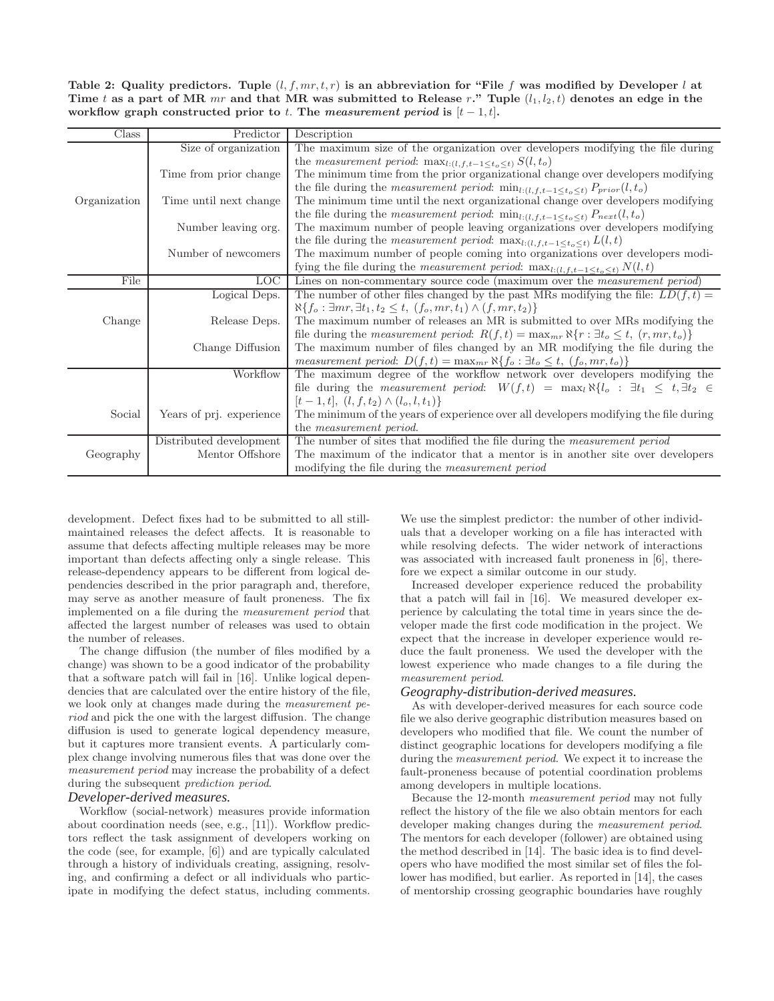Table 2: Quality predictors. Tuple  $(l, f, mr, t, r)$  is an abbreviation for "File f was modified by Developer l at Time t as a part of MR mr and that MR was submitted to Release r." Tuple  $(l_1, l_2, t)$  denotes an edge in the workflow graph constructed prior to t. The measurement period is  $[t-1, t]$ .

| Class                  | Predictor                | Description                                                                                                   |
|------------------------|--------------------------|---------------------------------------------------------------------------------------------------------------|
|                        | Size of organization     | The maximum size of the organization over developers modifying the file during                                |
|                        |                          | the <i>measurement period</i> : $\max_{l:(l,f,t-1\leq t_o\leq t)} S(l,t_o)$                                   |
| Time from prior change |                          | The minimum time from the prior organizational change over developers modifying                               |
|                        |                          | the file during the <i>measurement period</i> : $\min_{l:(l,f,t-1\leq t_0\leq t)} P_{prior}(l,t_0)$           |
| Organization           | Time until next change   | The minimum time until the next organizational change over developers modifying                               |
|                        |                          | the file during the <i>measurement period</i> : $\min_{l:(l,f,t-1\leq t_0\leq t)} P_{next}(l,t_0)$            |
|                        | Number leaving org.      | The maximum number of people leaving organizations over developers modifying                                  |
|                        |                          | the file during the <i>measurement period</i> : $\max_{l:(l,f,t-1\leq t_o\leq t)} L(l,t)$                     |
|                        | Number of newcomers      | The maximum number of people coming into organizations over developers modi-                                  |
|                        |                          | fying the file during the <i>measurement period</i> : $\max_{l:(l,f,t-1\leq t_o\leq t)} N(l,t)$               |
| File                   | <b>LOC</b>               | Lines on non-commentary source code (maximum over the <i>measurement period</i> )                             |
|                        | Logical Deps.            | The number of other files changed by the past MRs modifying the file: $LD(f, t)$ =                            |
|                        |                          | $\aleph\{f_o: \exists mr, \exists t_1, t_2 \leq t, (f_o, mr, t_1) \wedge (f, mr, t_2)\}\$                     |
| Change                 | Release Deps.            | The maximum number of releases an MR is submitted to over MRs modifying the                                   |
|                        |                          | file during the <i>measurement period:</i> $R(f,t) = \max_{mr} \aleph{r : \exists t_o \leq t, (r, mr, t_o)}$  |
|                        | Change Diffusion         | The maximum number of files changed by an MR modifying the file during the                                    |
|                        |                          | measurement period: $D(f,t) = \max_{mr} \aleph\{f_o : \exists t_o \leq t, (f_o, mr, t_o)\}\$                  |
|                        | Workflow                 | The maximum degree of the workflow network over developers modifying the                                      |
|                        |                          | file during the <i>measurement period:</i> $W(f,t) = \max_l \aleph{l_o : \exists t_1 \leq t, \exists t_2 \in$ |
|                        |                          | $[t-1, t], (l, f, t_2) \wedge (l_o, l, t_1)$                                                                  |
| Social                 | Years of prj. experience | The minimum of the years of experience over all developers modifying the file during                          |
|                        |                          | the <i>measurement</i> period.                                                                                |
|                        | Distributed development  | The number of sites that modified the file during the <i>measurement</i> period                               |
| Geography              | Mentor Offshore          | The maximum of the indicator that a mentor is in another site over developers                                 |
|                        |                          | modifying the file during the <i>measurement period</i>                                                       |

development. Defect fixes had to be submitted to all stillmaintained releases the defect affects. It is reasonable to assume that defects affecting multiple releases may be more important than defects affecting only a single release. This release-dependency appears to be different from logical dependencies described in the prior paragraph and, therefore, may serve as another measure of fault proneness. The fix implemented on a file during the measurement period that affected the largest number of releases was used to obtain the number of releases.

The change diffusion (the number of files modified by a change) was shown to be a good indicator of the probability that a software patch will fail in [16]. Unlike logical dependencies that are calculated over the entire history of the file, we look only at changes made during the measurement period and pick the one with the largest diffusion. The change diffusion is used to generate logical dependency measure, but it captures more transient events. A particularly complex change involving numerous files that was done over the measurement period may increase the probability of a defect during the subsequent prediction period.

## *Developer-derived measures.*

Workflow (social-network) measures provide information about coordination needs (see, e.g., [11]). Workflow predictors reflect the task assignment of developers working on the code (see, for example, [6]) and are typically calculated through a history of individuals creating, assigning, resolving, and confirming a defect or all individuals who participate in modifying the defect status, including comments.

We use the simplest predictor: the number of other individuals that a developer working on a file has interacted with while resolving defects. The wider network of interactions was associated with increased fault proneness in [6], therefore we expect a similar outcome in our study.

Increased developer experience reduced the probability that a patch will fail in [16]. We measured developer experience by calculating the total time in years since the developer made the first code modification in the project. We expect that the increase in developer experience would reduce the fault proneness. We used the developer with the lowest experience who made changes to a file during the measurement period.

#### *Geography-distribution-derived measures.*

As with developer-derived measures for each source code file we also derive geographic distribution measures based on developers who modified that file. We count the number of distinct geographic locations for developers modifying a file during the measurement period. We expect it to increase the fault-proneness because of potential coordination problems among developers in multiple locations.

Because the 12-month measurement period may not fully reflect the history of the file we also obtain mentors for each developer making changes during the *measurement period*. The mentors for each developer (follower) are obtained using the method described in [14]. The basic idea is to find developers who have modified the most similar set of files the follower has modified, but earlier. As reported in [14], the cases of mentorship crossing geographic boundaries have roughly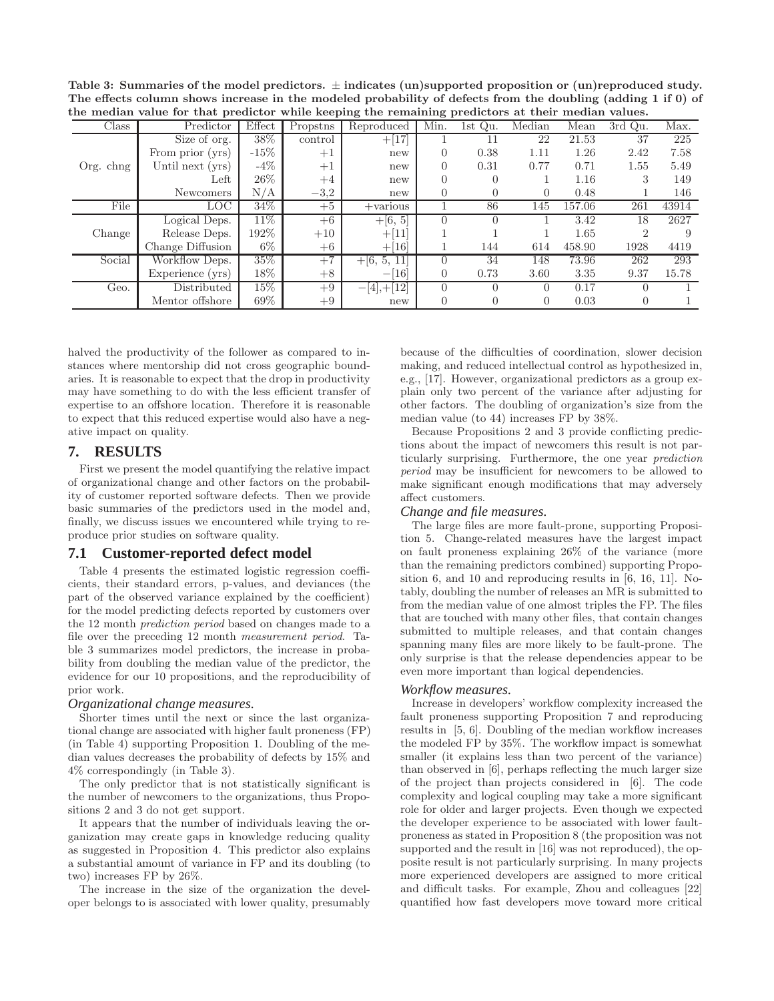Table 3: Summaries of the model predictors.  $\pm$  indicates (un)supported proposition or (un)reproduced study. The effects column shows increase in the modeled probability of defects from the doubling (adding 1 if 0) of the median value for that predictor while keeping the remaining predictors at their median values.

| $\sim$<br>$\sim$<br>$\frac{1}{2}$ |                  |         |          |                                |          |          |                  |        |          |       |
|-----------------------------------|------------------|---------|----------|--------------------------------|----------|----------|------------------|--------|----------|-------|
| Class                             | Predictor        | Effect  | Propstns | Reproduced                     | Min.     | 1st Qu.  | Median           | Mean   | 3rd Qu.  | Max.  |
|                                   | Size of org.     | 38%     | control  | $+[17]$                        |          | 11       | 22               | 21.53  | 37       | 225   |
|                                   | From prior (yrs) | $-15\%$ | $+1$     | new                            | $\Omega$ | 0.38     | 1.11             | 1.26   | 2.42     | 7.58  |
| Org. chng                         | Until next (yrs) | $-4\%$  | $+1$     | new                            | 0        | 0.31     | 0.77             | 0.71   | 1.55     | 5.49  |
|                                   | Left             | $26\%$  | $+4$     | new                            | $\theta$ |          |                  | 1.16   | 3        | 149   |
|                                   | <b>Newcomers</b> | N/A     | $-3.2$   | new                            | 0        |          | $\left( \right)$ | 0.48   |          | 146   |
| File                              | LOC-             | 34\%    | $+5$     | $+$ various                    |          | 86       | 145              | 157.06 | 261      | 43914 |
|                                   | Logical Deps.    | $11\%$  | $+6$     | $+[6, 5]$                      | $\Omega$ |          |                  | 3.42   | 18       | 2627  |
| Change                            | Release Deps.    | $192\%$ | $+10$    | $+[11]$                        |          |          |                  | 1.65   | 2        |       |
|                                   | Change Diffusion | $6\%$   | $+6$     | $+[16]$                        |          | 144      | 614              | 458.90 | 1928     | 4419  |
| Social                            | Workflow Deps.   | 35%     | $+7$     | $+16, 5,$<br>-11               | $\Omega$ | 34       | 148              | 73.96  | 262      | 293   |
|                                   | Experience (yrs) | 18%     | $+8$     | 16<br>$\overline{\phantom{0}}$ | $\theta$ | 0.73     | 3.60             | 3.35   | 9.37     | 15.78 |
| Geo.                              | Distributed      | $15\%$  | $+9$     | $, +12]$<br>41                 | $\Omega$ | $\Omega$ | $\Omega$         | 0.17   |          |       |
|                                   | Mentor offshore  | 69%     | $+9$     | new                            | 0        |          | $\left( \right)$ | 0.03   | $^{(1)}$ |       |

halved the productivity of the follower as compared to instances where mentorship did not cross geographic boundaries. It is reasonable to expect that the drop in productivity may have something to do with the less efficient transfer of expertise to an offshore location. Therefore it is reasonable to expect that this reduced expertise would also have a negative impact on quality.

# **7. RESULTS**

First we present the model quantifying the relative impact of organizational change and other factors on the probability of customer reported software defects. Then we provide basic summaries of the predictors used in the model and, finally, we discuss issues we encountered while trying to reproduce prior studies on software quality.

## **7.1 Customer-reported defect model**

Table 4 presents the estimated logistic regression coefficients, their standard errors, p-values, and deviances (the part of the observed variance explained by the coefficient) for the model predicting defects reported by customers over the 12 month prediction period based on changes made to a file over the preceding 12 month measurement period. Table 3 summarizes model predictors, the increase in probability from doubling the median value of the predictor, the evidence for our 10 propositions, and the reproducibility of prior work.

#### *Organizational change measures.*

Shorter times until the next or since the last organizational change are associated with higher fault proneness (FP) (in Table 4) supporting Proposition 1. Doubling of the median values decreases the probability of defects by 15% and 4% correspondingly (in Table 3).

The only predictor that is not statistically significant is the number of newcomers to the organizations, thus Propositions 2 and 3 do not get support.

It appears that the number of individuals leaving the organization may create gaps in knowledge reducing quality as suggested in Proposition 4. This predictor also explains a substantial amount of variance in FP and its doubling (to two) increases FP by 26%.

The increase in the size of the organization the developer belongs to is associated with lower quality, presumably because of the difficulties of coordination, slower decision making, and reduced intellectual control as hypothesized in, e.g., [17]. However, organizational predictors as a group explain only two percent of the variance after adjusting for other factors. The doubling of organization's size from the median value (to 44) increases FP by 38%.

Because Propositions 2 and 3 provide conflicting predictions about the impact of newcomers this result is not particularly surprising. Furthermore, the one year prediction period may be insufficient for newcomers to be allowed to make significant enough modifications that may adversely affect customers.

### *Change and file measures.*

The large files are more fault-prone, supporting Proposition 5. Change-related measures have the largest impact on fault proneness explaining 26% of the variance (more than the remaining predictors combined) supporting Proposition 6, and 10 and reproducing results in [6, 16, 11]. Notably, doubling the number of releases an MR is submitted to from the median value of one almost triples the FP. The files that are touched with many other files, that contain changes submitted to multiple releases, and that contain changes spanning many files are more likely to be fault-prone. The only surprise is that the release dependencies appear to be even more important than logical dependencies.

#### *Workflow measures.*

Increase in developers' workflow complexity increased the fault proneness supporting Proposition 7 and reproducing results in [5, 6]. Doubling of the median workflow increases the modeled FP by 35%. The workflow impact is somewhat smaller (it explains less than two percent of the variance) than observed in [6], perhaps reflecting the much larger size of the project than projects considered in [6]. The code complexity and logical coupling may take a more significant role for older and larger projects. Even though we expected the developer experience to be associated with lower faultproneness as stated in Proposition 8 (the proposition was not supported and the result in [16] was not reproduced), the opposite result is not particularly surprising. In many projects more experienced developers are assigned to more critical and difficult tasks. For example, Zhou and colleagues [22] quantified how fast developers move toward more critical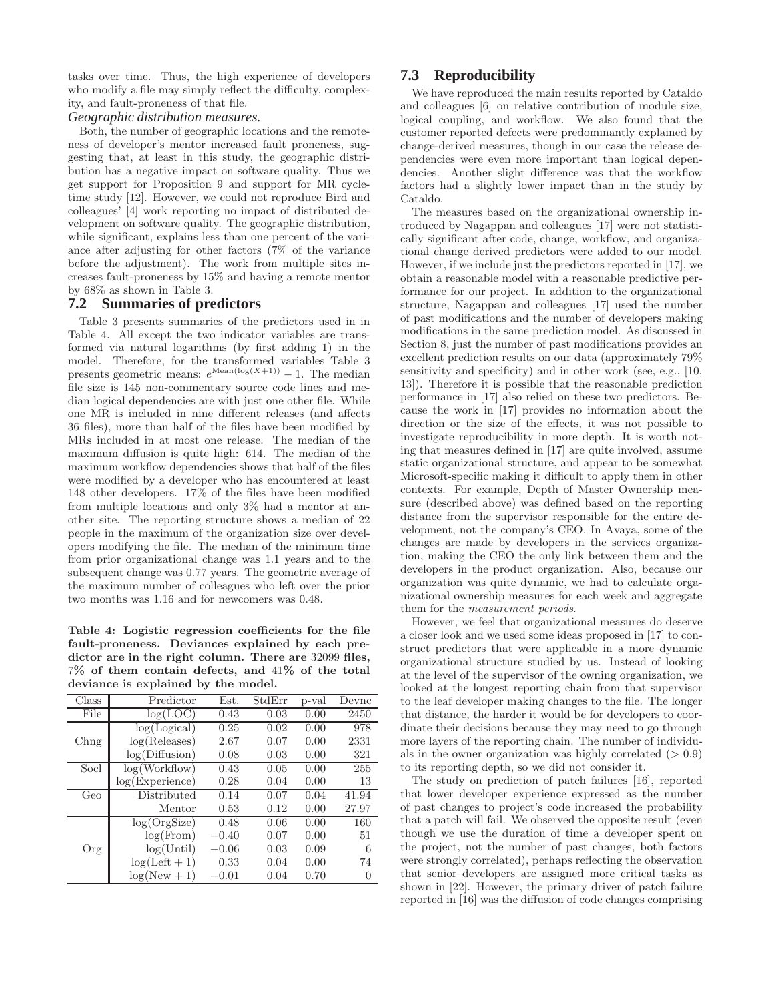tasks over time. Thus, the high experience of developers who modify a file may simply reflect the difficulty, complexity, and fault-proneness of that file.

### *Geographic distribution measures.*

Both, the number of geographic locations and the remoteness of developer's mentor increased fault proneness, suggesting that, at least in this study, the geographic distribution has a negative impact on software quality. Thus we get support for Proposition 9 and support for MR cycletime study [12]. However, we could not reproduce Bird and colleagues' [4] work reporting no impact of distributed development on software quality. The geographic distribution, while significant, explains less than one percent of the variance after adjusting for other factors (7% of the variance before the adjustment). The work from multiple sites increases fault-proneness by 15% and having a remote mentor by 68% as shown in Table 3.

# **7.2 Summaries of predictors**

Table 3 presents summaries of the predictors used in in Table 4. All except the two indicator variables are transformed via natural logarithms (by first adding 1) in the model. Therefore, for the transformed variables Table 3 presents geometric means:  $e^{\text{Mean}(\log(X+1))} - 1$ . The median file size is 145 non-commentary source code lines and median logical dependencies are with just one other file. While one MR is included in nine different releases (and affects 36 files), more than half of the files have been modified by MRs included in at most one release. The median of the maximum diffusion is quite high: 614. The median of the maximum workflow dependencies shows that half of the files were modified by a developer who has encountered at least 148 other developers. 17% of the files have been modified from multiple locations and only 3% had a mentor at another site. The reporting structure shows a median of 22 people in the maximum of the organization size over developers modifying the file. The median of the minimum time from prior organizational change was 1.1 years and to the subsequent change was 0.77 years. The geometric average of the maximum number of colleagues who left over the prior two months was 1.16 and for newcomers was 0.48.

Table 4: Logistic regression coefficients for the file fault-proneness. Deviances explained by each predictor are in the right column. There are 32099 files, 7% of them contain defects, and 41% of the total deviance is explained by the model.

| Class | Predictor       | Est.    | StdErr | p-val | Devnc    |
|-------|-----------------|---------|--------|-------|----------|
| File  | log(LOC)        | 0.43    | 0.03   | 0.00  | 2450     |
|       | log(Logical)    | 0.25    | 0.02   | 0.00  | 978      |
| Chng  | log(Releases)   | 2.67    | 0.07   | 0.00  | 2331     |
|       | log(Diffusion)  | 0.08    | 0.03   | 0.00  | 321      |
| Socl  | log(Workflow)   | 0.43    | 0.05   | 0.00  | 255      |
|       | log(Experience) | 0.28    | 0.04   | 0.00  | 13       |
| Geo   | Distributed     | 0.14    | 0.07   | 0.04  | 41.94    |
|       | Mentor          | 0.53    | 0.12   | 0.00  | 27.97    |
|       | log(OrgSize)    | 0.48    | 0.06   | 0.00  | 160      |
|       | log(From)       | $-0.40$ | 0.07   | 0.00  | 51       |
| Org   | log(Until)      | $-0.06$ | 0.03   | 0.09  | 6        |
|       | $log(Left + 1)$ | 0.33    | 0.04   | 0.00  | 74       |
|       | $log(New+1)$    | $-0.01$ | 0.04   | 0.70  | $\theta$ |

# **7.3 Reproducibility**

We have reproduced the main results reported by Cataldo and colleagues [6] on relative contribution of module size, logical coupling, and workflow. We also found that the customer reported defects were predominantly explained by change-derived measures, though in our case the release dependencies were even more important than logical dependencies. Another slight difference was that the workflow factors had a slightly lower impact than in the study by Cataldo.

The measures based on the organizational ownership introduced by Nagappan and colleagues [17] were not statistically significant after code, change, workflow, and organizational change derived predictors were added to our model. However, if we include just the predictors reported in [17], we obtain a reasonable model with a reasonable predictive performance for our project. In addition to the organizational structure, Nagappan and colleagues [17] used the number of past modifications and the number of developers making modifications in the same prediction model. As discussed in Section 8, just the number of past modifications provides an excellent prediction results on our data (approximately 79% sensitivity and specificity) and in other work (see, e.g., [10, 13]). Therefore it is possible that the reasonable prediction performance in [17] also relied on these two predictors. Because the work in [17] provides no information about the direction or the size of the effects, it was not possible to investigate reproducibility in more depth. It is worth noting that measures defined in [17] are quite involved, assume static organizational structure, and appear to be somewhat Microsoft-specific making it difficult to apply them in other contexts. For example, Depth of Master Ownership measure (described above) was defined based on the reporting distance from the supervisor responsible for the entire development, not the company's CEO. In Avaya, some of the changes are made by developers in the services organization, making the CEO the only link between them and the developers in the product organization. Also, because our organization was quite dynamic, we had to calculate organizational ownership measures for each week and aggregate them for the measurement periods.

However, we feel that organizational measures do deserve a closer look and we used some ideas proposed in [17] to construct predictors that were applicable in a more dynamic organizational structure studied by us. Instead of looking at the level of the supervisor of the owning organization, we looked at the longest reporting chain from that supervisor to the leaf developer making changes to the file. The longer that distance, the harder it would be for developers to coordinate their decisions because they may need to go through more layers of the reporting chain. The number of individuals in the owner organization was highly correlated  $(>0.9)$ to its reporting depth, so we did not consider it.

The study on prediction of patch failures [16], reported that lower developer experience expressed as the number of past changes to project's code increased the probability that a patch will fail. We observed the opposite result (even though we use the duration of time a developer spent on the project, not the number of past changes, both factors were strongly correlated), perhaps reflecting the observation that senior developers are assigned more critical tasks as shown in [22]. However, the primary driver of patch failure reported in [16] was the diffusion of code changes comprising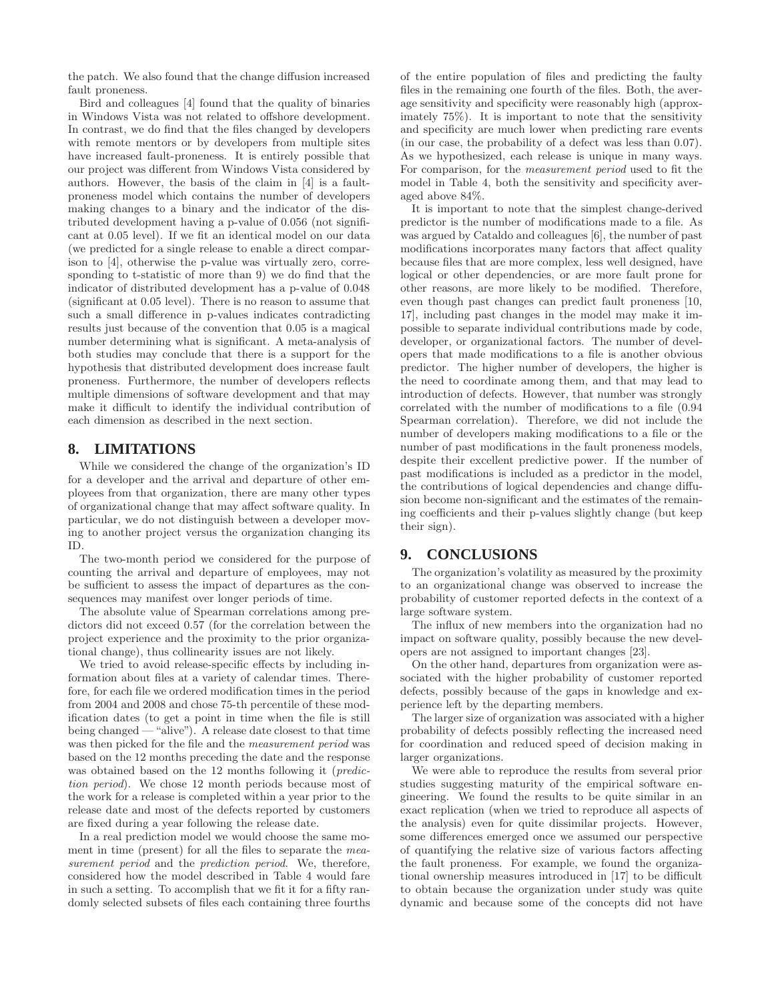the patch. We also found that the change diffusion increased fault proneness.

Bird and colleagues [4] found that the quality of binaries in Windows Vista was not related to offshore development. In contrast, we do find that the files changed by developers with remote mentors or by developers from multiple sites have increased fault-proneness. It is entirely possible that our project was different from Windows Vista considered by authors. However, the basis of the claim in [4] is a faultproneness model which contains the number of developers making changes to a binary and the indicator of the distributed development having a p-value of 0.056 (not significant at 0.05 level). If we fit an identical model on our data (we predicted for a single release to enable a direct comparison to [4], otherwise the p-value was virtually zero, corresponding to t-statistic of more than 9) we do find that the indicator of distributed development has a p-value of 0.048 (significant at 0.05 level). There is no reason to assume that such a small difference in p-values indicates contradicting results just because of the convention that 0.05 is a magical number determining what is significant. A meta-analysis of both studies may conclude that there is a support for the hypothesis that distributed development does increase fault proneness. Furthermore, the number of developers reflects multiple dimensions of software development and that may make it difficult to identify the individual contribution of each dimension as described in the next section.

# **8. LIMITATIONS**

While we considered the change of the organization's ID for a developer and the arrival and departure of other employees from that organization, there are many other types of organizational change that may affect software quality. In particular, we do not distinguish between a developer moving to another project versus the organization changing its ID.

The two-month period we considered for the purpose of counting the arrival and departure of employees, may not be sufficient to assess the impact of departures as the consequences may manifest over longer periods of time.

The absolute value of Spearman correlations among predictors did not exceed 0.57 (for the correlation between the project experience and the proximity to the prior organizational change), thus collinearity issues are not likely.

We tried to avoid release-specific effects by including information about files at a variety of calendar times. Therefore, for each file we ordered modification times in the period from 2004 and 2008 and chose 75-th percentile of these modification dates (to get a point in time when the file is still being changed — "alive"). A release date closest to that time was then picked for the file and the measurement period was based on the 12 months preceding the date and the response was obtained based on the 12 months following it (*predic*tion period). We chose 12 month periods because most of the work for a release is completed within a year prior to the release date and most of the defects reported by customers are fixed during a year following the release date.

In a real prediction model we would choose the same moment in time (present) for all the files to separate the measurement period and the *prediction period*. We, therefore, considered how the model described in Table 4 would fare in such a setting. To accomplish that we fit it for a fifty randomly selected subsets of files each containing three fourths of the entire population of files and predicting the faulty files in the remaining one fourth of the files. Both, the average sensitivity and specificity were reasonably high (approximately 75%). It is important to note that the sensitivity and specificity are much lower when predicting rare events (in our case, the probability of a defect was less than 0.07). As we hypothesized, each release is unique in many ways. For comparison, for the measurement period used to fit the model in Table 4, both the sensitivity and specificity averaged above 84%.

It is important to note that the simplest change-derived predictor is the number of modifications made to a file. As was argued by Cataldo and colleagues [6], the number of past modifications incorporates many factors that affect quality because files that are more complex, less well designed, have logical or other dependencies, or are more fault prone for other reasons, are more likely to be modified. Therefore, even though past changes can predict fault proneness [10, 17], including past changes in the model may make it impossible to separate individual contributions made by code, developer, or organizational factors. The number of developers that made modifications to a file is another obvious predictor. The higher number of developers, the higher is the need to coordinate among them, and that may lead to introduction of defects. However, that number was strongly correlated with the number of modifications to a file (0.94 Spearman correlation). Therefore, we did not include the number of developers making modifications to a file or the number of past modifications in the fault proneness models, despite their excellent predictive power. If the number of past modifications is included as a predictor in the model, the contributions of logical dependencies and change diffusion become non-significant and the estimates of the remaining coefficients and their p-values slightly change (but keep their sign).

# **9. CONCLUSIONS**

The organization's volatility as measured by the proximity to an organizational change was observed to increase the probability of customer reported defects in the context of a large software system.

The influx of new members into the organization had no impact on software quality, possibly because the new developers are not assigned to important changes [23].

On the other hand, departures from organization were associated with the higher probability of customer reported defects, possibly because of the gaps in knowledge and experience left by the departing members.

The larger size of organization was associated with a higher probability of defects possibly reflecting the increased need for coordination and reduced speed of decision making in larger organizations.

We were able to reproduce the results from several prior studies suggesting maturity of the empirical software engineering. We found the results to be quite similar in an exact replication (when we tried to reproduce all aspects of the analysis) even for quite dissimilar projects. However, some differences emerged once we assumed our perspective of quantifying the relative size of various factors affecting the fault proneness. For example, we found the organizational ownership measures introduced in [17] to be difficult to obtain because the organization under study was quite dynamic and because some of the concepts did not have